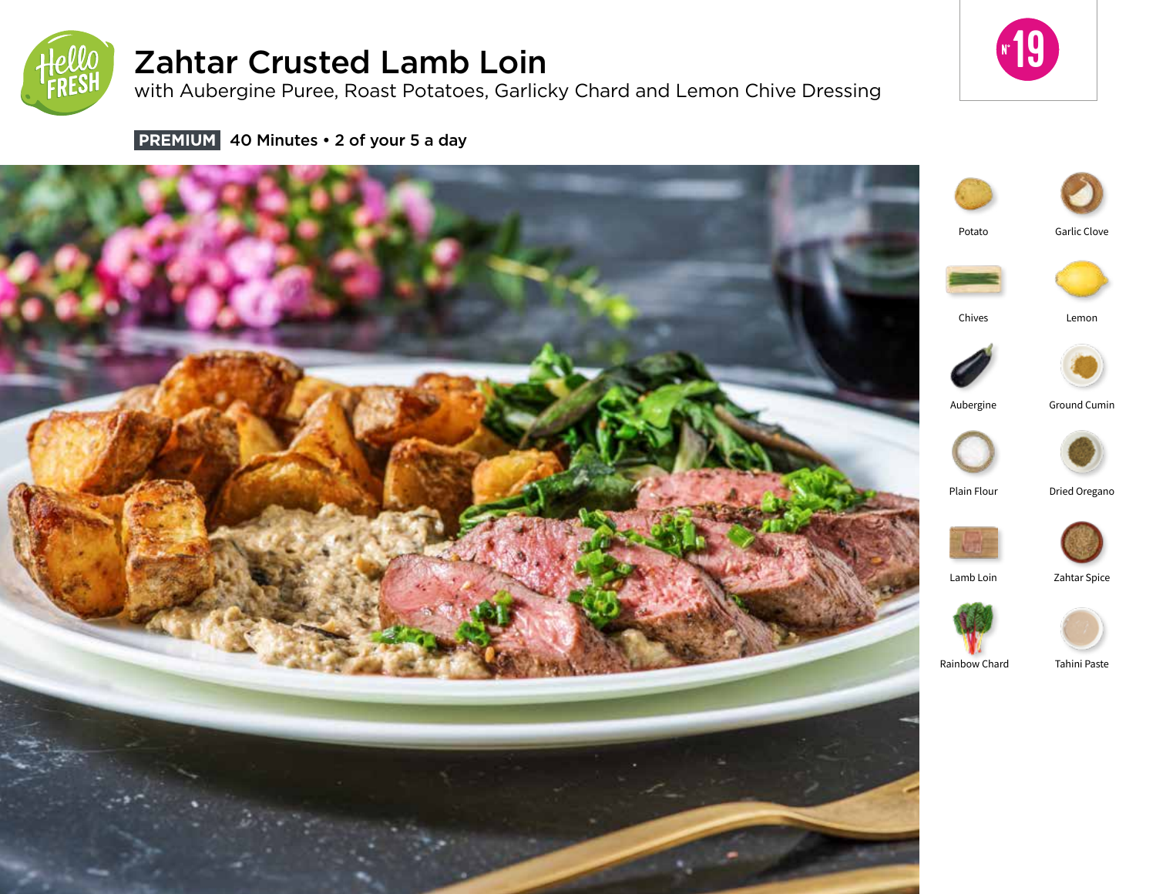

# Zahtar Crusted Lamb Loin

with Aubergine Puree, Roast Potatoes, Garlicky Chard and Lemon Chive Dressing



**PREMIUM** 40 Minutes • 2 of your 5 a day